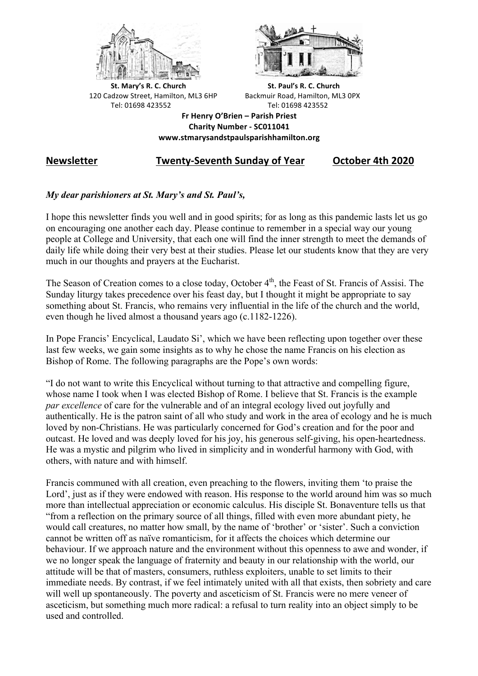



**St.** Mary's R. C. Church St. Paul's R. C. Church 120 Cadzow Street, Hamilton, ML3 6HP Backmuir Road, Hamilton, ML3 0PX Tel: 01698 423552 Tel: 01698 423552

**Fr Henry O'Brien – Parish Priest Charity Number - SC011041 www.stmarysandstpaulsparishhamilton.org**

# **Newsletter Twenty-Seventh Sunday of Year October 4th 2020**

## *My dear parishioners at St. Mary's and St. Paul's,*

I hope this newsletter finds you well and in good spirits; for as long as this pandemic lasts let us go on encouraging one another each day. Please continue to remember in a special way our young people at College and University, that each one will find the inner strength to meet the demands of daily life while doing their very best at their studies. Please let our students know that they are very much in our thoughts and prayers at the Eucharist.

The Season of Creation comes to a close today, October 4<sup>th</sup>, the Feast of St. Francis of Assisi. The Sunday liturgy takes precedence over his feast day, but I thought it might be appropriate to say something about St. Francis, who remains very influential in the life of the church and the world, even though he lived almost a thousand years ago (c.1182-1226).

In Pope Francis' Encyclical, Laudato Si', which we have been reflecting upon together over these last few weeks, we gain some insights as to why he chose the name Francis on his election as Bishop of Rome. The following paragraphs are the Pope's own words:

"I do not want to write this Encyclical without turning to that attractive and compelling figure, whose name I took when I was elected Bishop of Rome. I believe that St. Francis is the example *par excellence* of care for the vulnerable and of an integral ecology lived out joyfully and authentically. He is the patron saint of all who study and work in the area of ecology and he is much loved by non-Christians. He was particularly concerned for God's creation and for the poor and outcast. He loved and was deeply loved for his joy, his generous self-giving, his open-heartedness. He was a mystic and pilgrim who lived in simplicity and in wonderful harmony with God, with others, with nature and with himself.

Francis communed with all creation, even preaching to the flowers, inviting them 'to praise the Lord', just as if they were endowed with reason. His response to the world around him was so much more than intellectual appreciation or economic calculus. His disciple St. Bonaventure tells us that "from a reflection on the primary source of all things, filled with even more abundant piety, he would call creatures, no matter how small, by the name of 'brother' or 'sister'. Such a conviction cannot be written off as naïve romanticism, for it affects the choices which determine our behaviour. If we approach nature and the environment without this openness to awe and wonder, if we no longer speak the language of fraternity and beauty in our relationship with the world, our attitude will be that of masters, consumers, ruthless exploiters, unable to set limits to their immediate needs. By contrast, if we feel intimately united with all that exists, then sobriety and care will well up spontaneously. The poverty and asceticism of St. Francis were no mere veneer of asceticism, but something much more radical: a refusal to turn reality into an object simply to be used and controlled.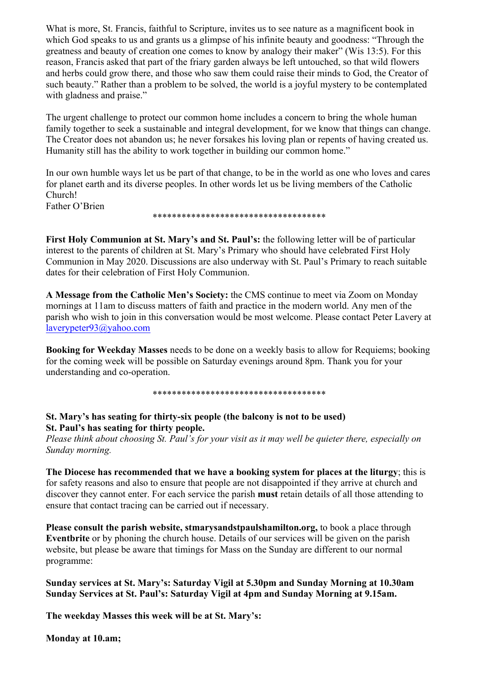What is more, St. Francis, faithful to Scripture, invites us to see nature as a magnificent book in which God speaks to us and grants us a glimpse of his infinite beauty and goodness: "Through the greatness and beauty of creation one comes to know by analogy their maker" (Wis 13:5). For this reason, Francis asked that part of the friary garden always be left untouched, so that wild flowers and herbs could grow there, and those who saw them could raise their minds to God, the Creator of such beauty." Rather than a problem to be solved, the world is a joyful mystery to be contemplated with gladness and praise."

The urgent challenge to protect our common home includes a concern to bring the whole human family together to seek a sustainable and integral development, for we know that things can change. The Creator does not abandon us; he never forsakes his loving plan or repents of having created us. Humanity still has the ability to work together in building our common home."

In our own humble ways let us be part of that change, to be in the world as one who loves and cares for planet earth and its diverse peoples. In other words let us be living members of the Catholic Church!

Father O'Brien

\*\*\*\*\*\*\*\*\*\*\*\*\*\*\*\*\*\*\*\*\*\*\*\*\*\*\*\*\*\*\*\*\*\*\*\*

**First Holy Communion at St. Mary's and St. Paul's:** the following letter will be of particular interest to the parents of children at St. Mary's Primary who should have celebrated First Holy Communion in May 2020. Discussions are also underway with St. Paul's Primary to reach suitable dates for their celebration of First Holy Communion.

**A Message from the Catholic Men's Society:** the CMS continue to meet via Zoom on Monday mornings at 11am to discuss matters of faith and practice in the modern world. Any men of the parish who wish to join in this conversation would be most welcome. Please contact Peter Lavery at laverypeter93@yahoo.com

**Booking for Weekday Masses** needs to be done on a weekly basis to allow for Requiems; booking for the coming week will be possible on Saturday evenings around 8pm. Thank you for your understanding and co-operation.

\*\*\*\*\*\*\*\*\*\*\*\*\*\*\*\*\*\*\*\*\*\*\*\*\*\*\*\*\*\*\*\*\*\*\*\*

# **St. Mary's has seating for thirty-six people (the balcony is not to be used) St. Paul's has seating for thirty people.**

*Please think about choosing St. Paul's for your visit as it may well be quieter there, especially on Sunday morning.*

**The Diocese has recommended that we have a booking system for places at the liturgy**; this is for safety reasons and also to ensure that people are not disappointed if they arrive at church and discover they cannot enter. For each service the parish **must** retain details of all those attending to ensure that contact tracing can be carried out if necessary.

**Please consult the parish website, stmarysandstpaulshamilton.org,** to book a place through **Eventbrite** or by phoning the church house. Details of our services will be given on the parish website, but please be aware that timings for Mass on the Sunday are different to our normal programme:

**Sunday services at St. Mary's: Saturday Vigil at 5.30pm and Sunday Morning at 10.30am Sunday Services at St. Paul's: Saturday Vigil at 4pm and Sunday Morning at 9.15am.**

**The weekday Masses this week will be at St. Mary's:**

**Monday at 10.am;**